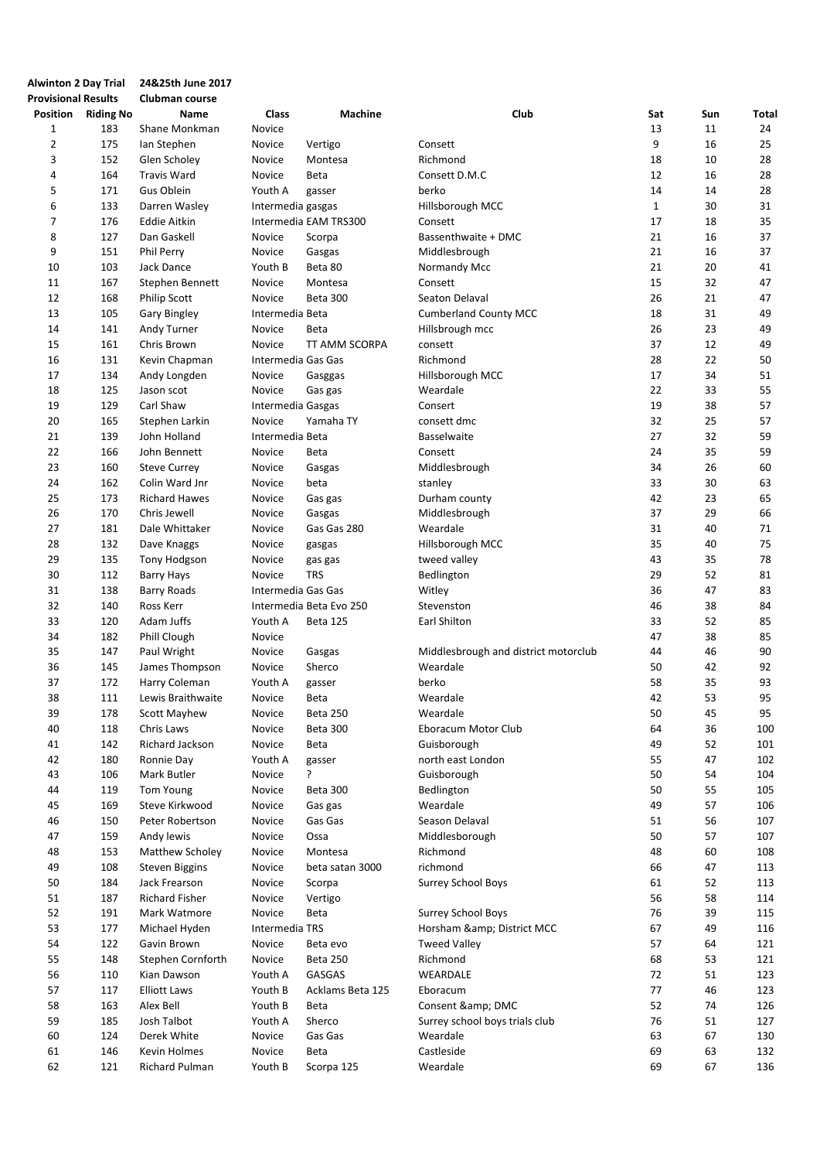| <b>Alwinton 2 Day Trial</b> |                    | 24&25th June 2017     |                    |                         |                                      |              |     |       |
|-----------------------------|--------------------|-----------------------|--------------------|-------------------------|--------------------------------------|--------------|-----|-------|
| <b>Provisional Results</b>  |                    | Clubman course        |                    |                         |                                      |              |     |       |
|                             | Position Riding No | <b>Name</b>           | Class              | Machine                 | Club                                 | Sat          | Sun | Total |
| 1                           | 183                | Shane Monkman         | Novice             |                         |                                      | 13           | 11  | 24    |
| $\overline{2}$              | 175                | Ian Stephen           | Novice             | Vertigo                 | Consett                              | 9            | 16  | 25    |
| 3                           | 152                | Glen Scholey          | Novice             | Montesa                 | Richmond                             | 18           | 10  | 28    |
| 4                           | 164                | <b>Travis Ward</b>    | Novice             | Beta                    | Consett D.M.C                        | 12           | 16  | 28    |
| 5                           | 171                | Gus Oblein            | Youth A            | gasser                  | berko                                | 14           | 14  | 28    |
| 6                           | 133                | Darren Wasley         | Intermedia gasgas  |                         | Hillsborough MCC                     | $\mathbf{1}$ | 30  | 31    |
| 7                           | 176                | <b>Eddie Aitkin</b>   |                    | Intermedia EAM TRS300   | Consett                              | 17           | 18  | 35    |
|                             |                    |                       |                    |                         |                                      |              |     |       |
| 8                           | 127                | Dan Gaskell           | Novice             | Scorpa                  | Bassenthwaite + DMC                  | 21           | 16  | 37    |
| 9                           | 151                | <b>Phil Perry</b>     | Novice             | Gasgas                  | Middlesbrough                        | 21           | 16  | 37    |
| 10                          | 103                | Jack Dance            | Youth B            | Beta 80                 | Normandy Mcc                         | 21           | 20  | 41    |
| 11                          | 167                | Stephen Bennett       | Novice             | Montesa                 | Consett                              | 15           | 32  | 47    |
| 12                          | 168                | <b>Philip Scott</b>   | Novice             | <b>Beta 300</b>         | Seaton Delaval                       | 26           | 21  | 47    |
| 13                          | 105                | <b>Gary Bingley</b>   | Intermedia Beta    |                         | <b>Cumberland County MCC</b>         | 18           | 31  | 49    |
| 14                          | 141                | Andy Turner           | Novice             | Beta                    | Hillsbrough mcc                      | 26           | 23  | 49    |
| 15                          | 161                | Chris Brown           | Novice             | TT AMM SCORPA           | consett                              | 37           | 12  | 49    |
| 16                          | 131                | Kevin Chapman         | Intermedia Gas Gas |                         | Richmond                             | 28           | 22  | 50    |
| 17                          | 134                | Andy Longden          | Novice             | Gasggas                 | Hillsborough MCC                     | 17           | 34  | 51    |
| 18                          | 125                | Jason scot            | Novice             | Gas gas                 | Weardale                             | 22           | 33  | 55    |
| 19                          | 129                | Carl Shaw             | Intermedia Gasgas  |                         | Consert                              | 19           | 38  | 57    |
| 20                          | 165                | Stephen Larkin        | Novice             | Yamaha TY               | consett dmc                          | 32           | 25  | 57    |
| 21                          | 139                | John Holland          | Intermedia Beta    |                         | <b>Basselwaite</b>                   | 27           | 32  | 59    |
| 22                          | 166                | John Bennett          | Novice             | Beta                    | Consett                              | 24           | 35  | 59    |
| 23                          | 160                | <b>Steve Currey</b>   | Novice             | Gasgas                  | Middlesbrough                        | 34           | 26  | 60    |
| 24                          | 162                | Colin Ward Jnr        | Novice             | beta                    | stanley                              | 33           | 30  | 63    |
| 25                          | 173                | <b>Richard Hawes</b>  | Novice             | Gas gas                 | Durham county                        | 42           | 23  | 65    |
| 26                          | 170                | Chris Jewell          | Novice             | Gasgas                  | Middlesbrough                        | 37           | 29  | 66    |
| 27                          | 181                | Dale Whittaker        | Novice             | Gas Gas 280             | Weardale                             | 31           | 40  | 71    |
| 28                          | 132                |                       |                    |                         |                                      | 35           | 40  | 75    |
|                             |                    | Dave Knaggs           | Novice             | gasgas                  | Hillsborough MCC                     |              |     |       |
| 29                          | 135                | Tony Hodgson          | Novice             | gas gas                 | tweed valley                         | 43           | 35  | 78    |
| 30                          | 112                | Barry Hays            | Novice             | <b>TRS</b>              | Bedlington                           | 29           | 52  | 81    |
| 31                          | 138                | <b>Barry Roads</b>    | Intermedia Gas Gas |                         | Witley                               | 36           | 47  | 83    |
| 32                          | 140                | Ross Kerr             |                    | Intermedia Beta Evo 250 | Stevenston                           | 46           | 38  | 84    |
| 33                          | 120                | Adam Juffs            | Youth A            | <b>Beta 125</b>         | Earl Shilton                         | 33           | 52  | 85    |
| 34                          | 182                | Phill Clough          | Novice             |                         |                                      | 47           | 38  | 85    |
| 35                          | 147                | Paul Wright           | Novice             | Gasgas                  | Middlesbrough and district motorclub | 44           | 46  | 90    |
| 36                          | 145                | James Thompson        | Novice             | Sherco                  | Weardale                             | 50           | 42  | 92    |
| 37                          | 172                | Harry Coleman         | Youth A            | gasser                  | berko                                | 58           | 35  | 93    |
| 38                          | 111                | Lewis Braithwaite     | Novice             | Beta                    | Weardale                             | 42           | 53  | 95    |
| 39                          | 178                | Scott Mayhew          | Novice             | Beta 250                | Weardale                             | 50           | 45  | 95    |
| 40                          | 118                | Chris Laws            | Novice             | Beta 300                | Eboracum Motor Club                  | 64           | 36  | 100   |
| 41                          | 142                | Richard Jackson       | Novice             | <b>Beta</b>             | Guisborough                          | 49           | 52  | 101   |
| 42                          | 180                | Ronnie Day            | Youth A            | gasser                  | north east London                    | 55           | 47  | 102   |
| 43                          | 106                | Mark Butler           | Novice             | ŗ                       | Guisborough                          | 50           | 54  | 104   |
| 44                          | 119                | Tom Young             | Novice             | Beta 300                | Bedlington                           | 50           | 55  | 105   |
| 45                          | 169                | Steve Kirkwood        | Novice             | Gas gas                 | Weardale                             | 49           | 57  | 106   |
| 46                          | 150                | Peter Robertson       | Novice             | Gas Gas                 | Season Delaval                       | 51           | 56  | 107   |
| 47                          | 159                | Andy lewis            | Novice             | Ossa                    | Middlesborough                       | 50           | 57  | 107   |
| 48                          | 153                | Matthew Scholey       | Novice             | Montesa                 | Richmond                             | 48           | 60  | 108   |
| 49                          | 108                | <b>Steven Biggins</b> | Novice             | beta satan 3000         | richmond                             | 66           | 47  | 113   |
| 50                          | 184                | Jack Frearson         | Novice             | Scorpa                  | <b>Surrey School Boys</b>            | 61           | 52  | 113   |
|                             | 187                |                       |                    |                         |                                      | 56           |     | 114   |
| 51                          |                    | <b>Richard Fisher</b> | Novice             | Vertigo                 |                                      |              | 58  |       |
| 52                          | 191                | Mark Watmore          | Novice             | Beta                    | <b>Surrey School Boys</b>            | 76           | 39  | 115   |
| 53                          | 177                | Michael Hyden         | Intermedia TRS     |                         | Horsham & District MCC               | 67           | 49  | 116   |
| 54                          | 122                | Gavin Brown           | Novice             | Beta evo                | <b>Tweed Valley</b>                  | 57           | 64  | 121   |
| 55                          | 148                | Stephen Cornforth     | Novice             | Beta 250                | Richmond                             | 68           | 53  | 121   |
| 56                          | 110                | Kian Dawson           | Youth A            | GASGAS                  | WEARDALE                             | 72           | 51  | 123   |
| 57                          | 117                | <b>Elliott Laws</b>   | Youth B            | Acklams Beta 125        | Eboracum                             | 77           | 46  | 123   |
| 58                          | 163                | Alex Bell             | Youth B            | Beta                    | Consent & DMC                        | 52           | 74  | 126   |
| 59                          | 185                | Josh Talbot           | Youth A            | Sherco                  | Surrey school boys trials club       | 76           | 51  | 127   |
| 60                          | 124                | Derek White           | Novice             | Gas Gas                 | Weardale                             | 63           | 67  | 130   |
| 61                          | 146                | Kevin Holmes          | Novice             | Beta                    | Castleside                           | 69           | 63  | 132   |
| 62                          | 121                | Richard Pulman        | Youth B            | Scorpa 125              | Weardale                             | 69           | 67  | 136   |
|                             |                    |                       |                    |                         |                                      |              |     |       |